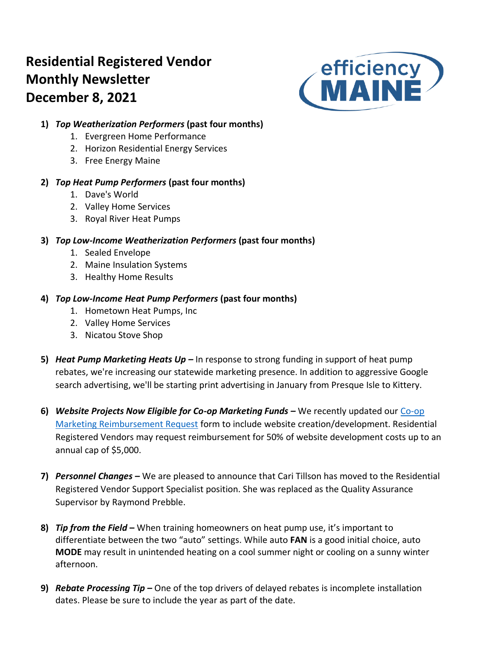# **Residential Registered Vendor Monthly Newsletter December 8, 2021**



# **1)** *Top Weatherization Performers* **(past four months)**

- 1. Evergreen Home Performance
- 2. Horizon Residential Energy Services
- 3. Free Energy Maine

# **2)** *Top Heat Pump Performers* **(past four months)**

- 1. Dave's World
- 2. Valley Home Services
- 3. Royal River Heat Pumps

# **3)** *Top Low-Income Weatherization Performers* **(past four months)**

- 1. Sealed Envelope
- 2. Maine Insulation Systems
- 3. Healthy Home Results

# **4)** *Top Low-Income Heat Pump Performers* **(past four months)**

- 1. Hometown Heat Pumps, Inc
- 2. Valley Home Services
- 3. Nicatou Stove Shop
- **5)** *Heat Pump Marketing Heats Up –* In response to strong funding in support of heat pump rebates, we're increasing our statewide marketing presence. In addition to aggressive Google search advertising, we'll be starting print advertising in January from Presque Isle to Kittery.
- **6)** *Website Projects Now Eligible for Co-op Marketing Funds –* We recently updated our [Co-op](https://www.efficiencymaine.com/docs/Efficiency-Maine-Residential-Coop-Marketing-Program.pdf)  [Marketing Reimbursement Request](https://www.efficiencymaine.com/docs/Efficiency-Maine-Residential-Coop-Marketing-Program.pdf) form to include website creation/development. Residential Registered Vendors may request reimbursement for 50% of website development costs up to an annual cap of \$5,000.
- **7)** *Personnel Changes –* We are pleased to announce that Cari Tillson has moved to the Residential Registered Vendor Support Specialist position. She was replaced as the Quality Assurance Supervisor by Raymond Prebble.
- **8)** *Tip from the Field* **–** When training homeowners on heat pump use, it's important to differentiate between the two "auto" settings. While auto **FAN** is a good initial choice, auto **MODE** may result in unintended heating on a cool summer night or cooling on a sunny winter afternoon.
- **9)** *Rebate Processing Tip –* One of the top drivers of delayed rebates is incomplete installation dates. Please be sure to include the year as part of the date.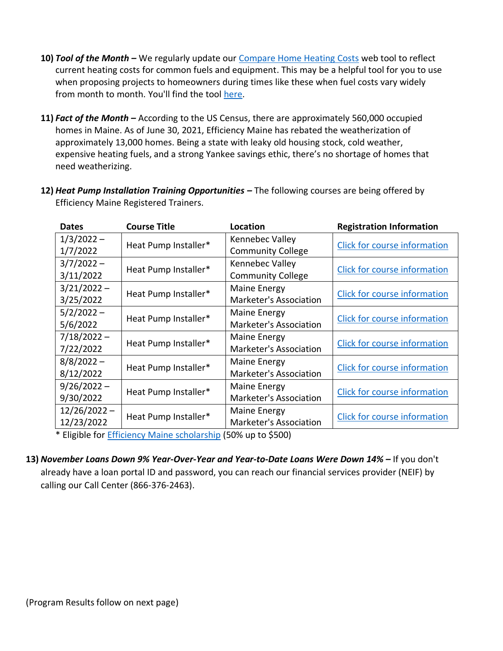- **10)** *Tool of the Month –* We regularly update our [Compare Home Heating Costs](https://www.efficiencymaine.com/at-home/heating-cost-comparison/) web tool to reflect current heating costs for common fuels and equipment. This may be a helpful tool for you to use when proposing projects to homeowners during times like these when fuel costs vary widely from month to month. You'll find the tool [here.](https://www.efficiencymaine.com/at-home/heating-cost-comparison/)
- **11)** *Fact of the Month –* According to the US Census, there are approximately 560,000 occupied homes in Maine. As of June 30, 2021, Efficiency Maine has rebated the weatherization of approximately 13,000 homes. Being a state with leaky old housing stock, cold weather, expensive heating fuels, and a strong Yankee savings ethic, there's no shortage of homes that need weatherizing.
- **12)** *Heat Pump Installation Training Opportunities –* The following courses are being offered by Efficiency Maine Registered Trainers.

| <b>Dates</b>   | <b>Course Title</b>  | Location                      | <b>Registration Information</b>     |  |  |  |  |
|----------------|----------------------|-------------------------------|-------------------------------------|--|--|--|--|
| $1/3/2022 -$   | Heat Pump Installer* | Kennebec Valley               | Click for course information        |  |  |  |  |
| 1/7/2022       |                      | <b>Community College</b>      |                                     |  |  |  |  |
| $3/7/2022 -$   |                      | Kennebec Valley               |                                     |  |  |  |  |
| 3/11/2022      | Heat Pump Installer* | <b>Community College</b>      | Click for course information        |  |  |  |  |
| $3/21/2022 -$  | Heat Pump Installer* | Maine Energy                  | <b>Click for course information</b> |  |  |  |  |
| 3/25/2022      |                      | Marketer's Association        |                                     |  |  |  |  |
| $5/2/2022 -$   |                      | <b>Maine Energy</b>           |                                     |  |  |  |  |
| 5/6/2022       | Heat Pump Installer* | <b>Marketer's Association</b> | Click for course information        |  |  |  |  |
| $7/18/2022 -$  |                      | Maine Energy                  |                                     |  |  |  |  |
| 7/22/2022      | Heat Pump Installer* | Marketer's Association        | Click for course information        |  |  |  |  |
| $8/8/2022 -$   |                      | <b>Maine Energy</b>           |                                     |  |  |  |  |
| 8/12/2022      | Heat Pump Installer* | Marketer's Association        | <b>Click for course information</b> |  |  |  |  |
| $9/26/2022 -$  |                      | Maine Energy                  |                                     |  |  |  |  |
| 9/30/2022      | Heat Pump Installer* | <b>Marketer's Association</b> | Click for course information        |  |  |  |  |
| $12/26/2022 -$ |                      | Maine Energy                  |                                     |  |  |  |  |
| 12/23/2022     | Heat Pump Installer* | Marketer's Association        | Click for course information        |  |  |  |  |

\* Eligible for [Efficiency Maine scholarship](https://www.efficiencymaine.com/docs/RRV-Scholarship-Application.pdf) (50% up to \$500)

**13)** *November Loans Down 9% Year-Over-Year and Year-to-Date Loans Were Down 14% –* If you don't already have a loan portal ID and password, you can reach our financial services provider (NEIF) by calling our Call Center (866-376-2463).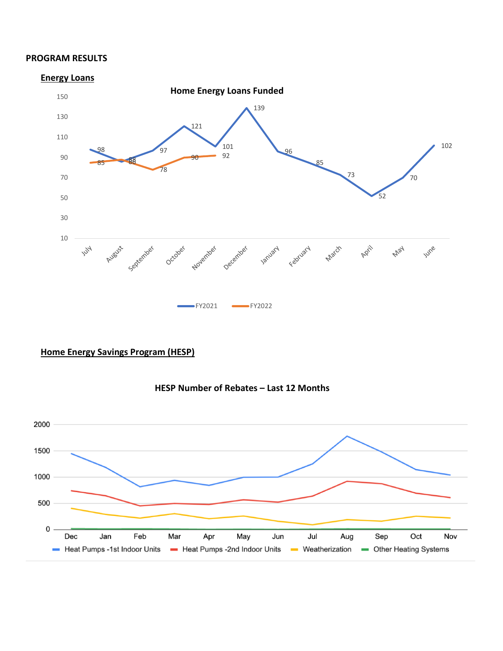#### **PROGRAM RESULTS**



# **Home Energy Savings Program (HESP)**



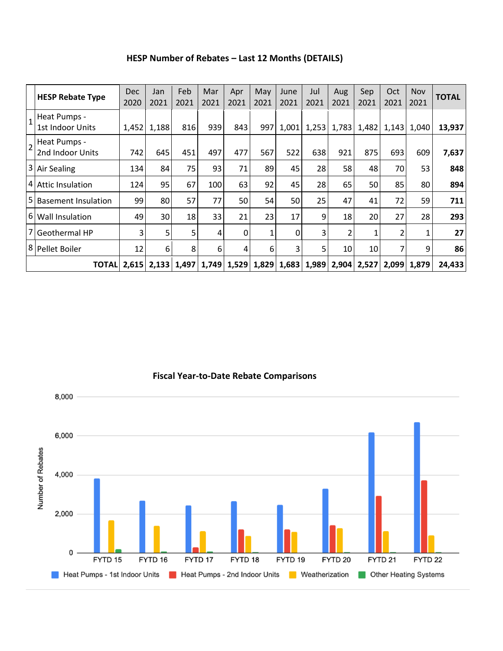| HESP Number of Rebates - Last 12 Months (DETAILS) |  |  |
|---------------------------------------------------|--|--|
|---------------------------------------------------|--|--|

|                | <b>HESP Rebate Type</b>                 | <b>Dec</b><br>2020 | Jan<br>2021 | Feb<br>2021     | Mar<br>2021 | Apr<br>2021 | May<br>2021 | June<br>2021 | Jul<br>2021 | Aug<br>2021 | Sep<br>2021 | Oct<br>2021 | Nov<br>2021   | <b>TOTAL</b> |
|----------------|-----------------------------------------|--------------------|-------------|-----------------|-------------|-------------|-------------|--------------|-------------|-------------|-------------|-------------|---------------|--------------|
|                | Heat Pumps -<br><b>1st Indoor Units</b> | 1,452              | 1,188       | 816             | 939         | 843         | 997         | 1,001        | 1,253       | 1,783       | 1,482       |             | $1,143$ 1,040 | 13,937       |
| $\overline{2}$ | Heat Pumps -<br>2nd Indoor Units        | 742                | 645         | 451             | 497         | 477         | 567         | 522          | 638         | 921         | 875         | 693         | 609           | 7,637        |
| 3              | Air Sealing                             | 134                | 84          | 75              | 93          | 71          | 89          | 45           | 28          | 58          | 48          | 70          | 53            | 848          |
|                | 4 Attic Insulation                      | 124                | 95          | 67              | 100         | 63          | 92          | 45           | 28          | 65          | 50          | 85          | 80            | 894          |
| 15             | <b>Basement Insulation</b>              | 99                 | 80          | 57              | 77          | 50          | 54          | 50           | 25          | 47          | 41          | 72          | 59            | 711          |
|                | 6 Wall Insulation                       | 49                 | 30          | 18              | 33          | 21          | 23          | 17           | 9           | 18          | 20          | 27          | 28            | 293          |
| 17             | <b>Geothermal HP</b>                    | 3                  | 5           | 5               | 4           | 0           |             | 0            | 3           |             |             | 2           | 1             | 27           |
|                | 8 Pellet Boiler                         | 12                 | 6           | 8               | 6           | 4           | 6           | 3            | 5           | 10          | 10          | 7           | 9             | 86           |
|                | TOTALI                                  | 2,615              |             | $2,133$   1,497 |             | 1,749 1,529 | 1,829       | 1,683        | 1,989       |             | 2,904 2,527 |             | 2,099 1,879   | 24.433       |



**Fiscal Year-to-Date Rebate Comparisons**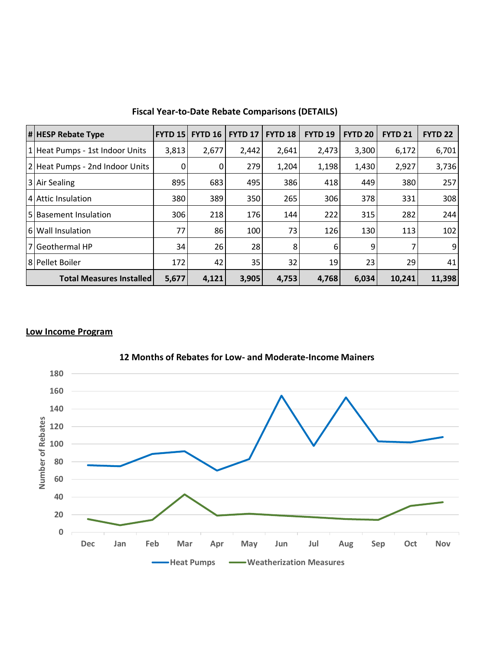| $  \#  $ HESP Rebate Type         | <b>FYTD 15</b> | <b>FYTD 16</b> | <b>FYTD 17</b> | <b>FYTD 18</b> | <b>FYTD 19</b> | <b>FYTD 20</b> | <b>FYTD 21</b> | <b>FYTD 22</b> |
|-----------------------------------|----------------|----------------|----------------|----------------|----------------|----------------|----------------|----------------|
| 1   Heat Pumps - 1st Indoor Units | 3,813          | 2,677          | 2,442          | 2,641          | 2,473          | 3,300          | 6,172          | 6,701          |
| 2 Heat Pumps - 2nd Indoor Units   | $\mathbf{0}$   | $\overline{0}$ | 279            | 1,204          | 1,198          | 1,430          | 2,927          | 3,736          |
| 3 Air Sealing                     | 895            | 683            | 495            | 386            | 418            | 449            | 380            | 257            |
| 4 Attic Insulation                | 380            | 389            | 350            | 265            | 306            | 378            | 331            | 308            |
| 5 Basement Insulation             | 306            | 218            | 176            | 144            | 222            | 315            | 282            | 244            |
| 6 Wall Insulation                 | 77             | 86             | 100            | 73             | 126            | 130            | 113            | 102            |
| l 7 l Geothermal HP               | 34             | 26             | 28             | 8              | 6              | 9              |                | 9              |
| 8 Pellet Boiler                   | 172            | 42             | 35             | 32             | 19             | 23             | 29             | 41             |
| <b>Total Measures Installed</b>   | 5,677          | 4,121          | 3,905          | 4,753          | 4,768          | 6,034          | 10,241         | 11,398         |

**Fiscal Year-to-Date Rebate Comparisons (DETAILS)**

# **Low Income Program**



**12 Months of Rebates for Low- and Moderate-Income Mainers**